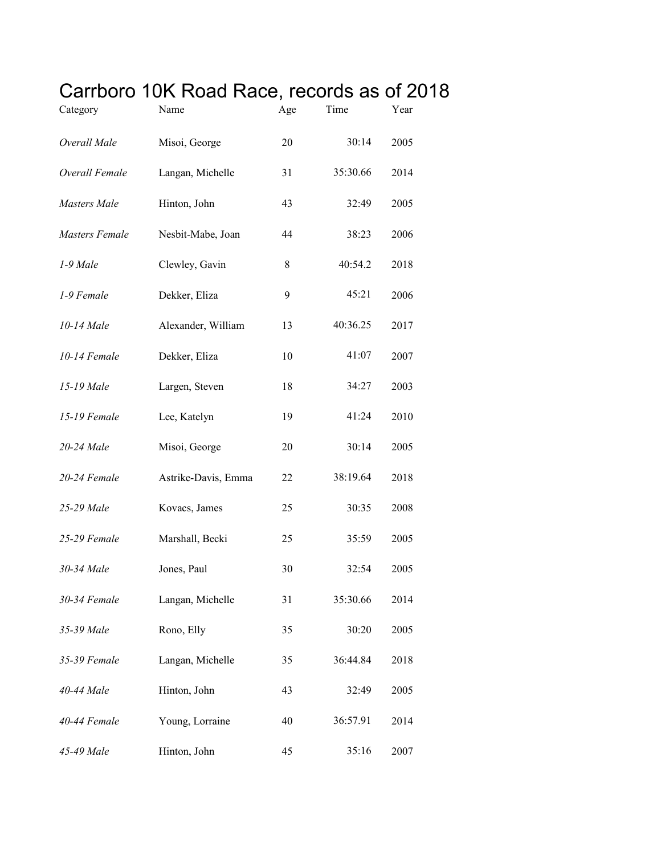## Carrboro 10K Road Race, records as of 2018

| Category              | Name                | Age | Time     | Year |
|-----------------------|---------------------|-----|----------|------|
| Overall Male          | Misoi, George       | 20  | 30:14    | 2005 |
| Overall Female        | Langan, Michelle    | 31  | 35:30.66 | 2014 |
| Masters Male          | Hinton, John        | 43  | 32:49    | 2005 |
| <b>Masters Female</b> | Nesbit-Mabe, Joan   | 44  | 38:23    | 2006 |
| 1-9 Male              | Clewley, Gavin      | 8   | 40:54.2  | 2018 |
| 1-9 Female            | Dekker, Eliza       | 9   | 45:21    | 2006 |
| 10-14 Male            | Alexander, William  | 13  | 40:36.25 | 2017 |
| 10-14 Female          | Dekker, Eliza       | 10  | 41:07    | 2007 |
| 15-19 Male            | Largen, Steven      | 18  | 34:27    | 2003 |
| 15-19 Female          | Lee, Katelyn        | 19  | 41:24    | 2010 |
| 20-24 Male            | Misoi, George       | 20  | 30:14    | 2005 |
| 20-24 Female          | Astrike-Davis, Emma | 22  | 38:19.64 | 2018 |
| 25-29 Male            | Kovacs, James       | 25  | 30:35    | 2008 |
| 25-29 Female          | Marshall, Becki     | 25  | 35:59    | 2005 |
| 30-34 Male            | Jones, Paul         | 30  | 32:54    | 2005 |
| 30-34 Female          | Langan, Michelle    | 31  | 35:30.66 | 2014 |
| 35-39 Male            | Rono, Elly          | 35  | 30:20    | 2005 |
| 35-39 Female          | Langan, Michelle    | 35  | 36:44.84 | 2018 |
| 40-44 Male            | Hinton, John        | 43  | 32:49    | 2005 |
| 40-44 Female          | Young, Lorraine     | 40  | 36:57.91 | 2014 |
| 45-49 Male            | Hinton, John        | 45  | 35:16    | 2007 |